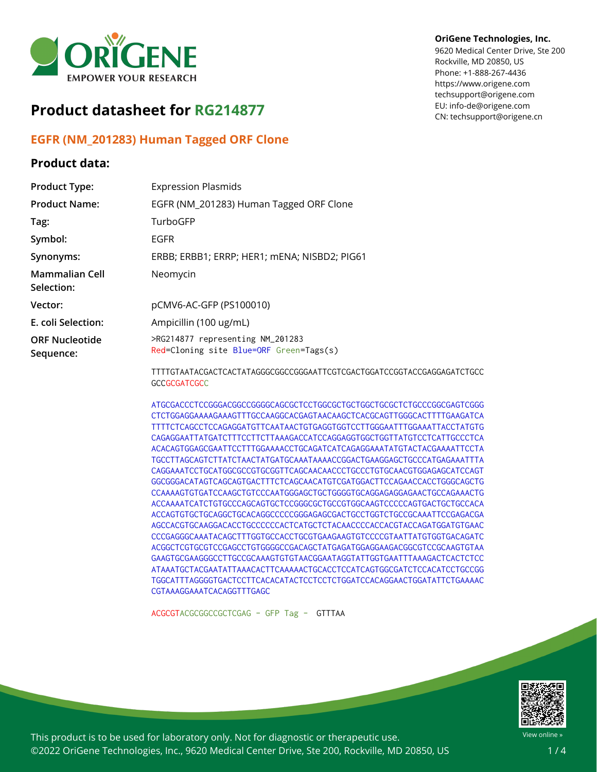

# **Product datasheet for RG214877**

## **EGFR (NM\_201283) Human Tagged ORF Clone**

### **Product data:**

#### **OriGene Technologies, Inc.**

9620 Medical Center Drive, Ste 200 Rockville, MD 20850, US Phone: +1-888-267-4436 https://www.origene.com techsupport@origene.com EU: info-de@origene.com CN: techsupport@origene.cn

| <b>Product Type:</b>               | <b>Expression Plasmids</b>                                                                    |
|------------------------------------|-----------------------------------------------------------------------------------------------|
| <b>Product Name:</b>               | EGFR (NM_201283) Human Tagged ORF Clone                                                       |
| Tag:                               | TurboGFP                                                                                      |
| Symbol:                            | EGFR                                                                                          |
| Synonyms:                          | ERBB; ERBB1; ERRP; HER1; mENA; NISBD2; PIG61                                                  |
| Mammalian Cell<br>Selection:       | Neomycin                                                                                      |
| Vector:                            | pCMV6-AC-GFP (PS100010)                                                                       |
| E. coli Selection:                 | Ampicillin (100 ug/mL)                                                                        |
| <b>ORF Nucleotide</b><br>Sequence: | >RG214877 representing NM_201283<br>Red=Cloning site Blue=ORF Green=Tags(s)                   |
|                                    | TTTTGTAATACGACTCACTATAGGGCGGCCGGGAATTCGTCGACTGGATCCGGTACCGAGGAGATCTGCC<br><b>GCCGCGATCGCC</b> |

ATGCGACCCTCCGGGACGGCCGGGGCAGCGCTCCTGGCGCTGCTGGCTGCGCTCTGCCCGGCGAGTCGGG CTCTGGAGGAAAAGAAAGTTTGCCAAGGCACGAGTAACAAGCTCACGCAGTTGGGCACTTTTGAAGATCA TTTTCTCAGCCTCCAGAGGATGTTCAATAACTGTGAGGTGGTCCTTGGGAATTTGGAAATTACCTATGTG CAGAGGAATTATGATCTTTCCTTCTTAAAGACCATCCAGGAGGTGGCTGGTTATGTCCTCATTGCCCTCA ACACAGTGGAGCGAATTCCTTTGGAAAACCTGCAGATCATCAGAGGAAATATGTACTACGAAAATTCCTA TGCCTTAGCAGTCTTATCTAACTATGATGCAAATAAAACCGGACTGAAGGAGCTGCCCATGAGAAATTTA CAGGAAATCCTGCATGGCGCCGTGCGGTTCAGCAACAACCCTGCCCTGTGCAACGTGGAGAGCATCCAGT GGCGGGACATAGTCAGCAGTGACTTTCTCAGCAACATGTCGATGGACTTCCAGAACCACCTGGGCAGCTG CCAAAAGTGTGATCCAAGCTGTCCCAATGGGAGCTGCTGGGGTGCAGGAGAGGAGAACTGCCAGAAACTG ACCAAAATCATCTGTGCCCAGCAGTGCTCCGGGCGCTGCCGTGGCAAGTCCCCCAGTGACTGCTGCCACA ACCAGTGTGCTGCAGGCTGCACAGGCCCCCGGGAGAGCGACTGCCTGGTCTGCCGCAAATTCCGAGACGA AGCCACGTGCAAGGACACCTGCCCCCCACTCATGCTCTACAACCCCACCACGTACCAGATGGATGTGAAC CCCGAGGGCAAATACAGCTTTGGTGCCACCTGCGTGAAGAAGTGTCCCCGTAATTATGTGGTGACAGATC ACGGCTCGTGCGTCCGAGCCTGTGGGGCCGACAGCTATGAGATGGAGGAAGACGGCGTCCGCAAGTGTAA GAAGTGCGAAGGGCCTTGCCGCAAAGTGTGTAACGGAATAGGTATTGGTGAATTTAAAGACTCACTCTCC ATAAATGCTACGAATATTAAACACTTCAAAAACTGCACCTCCATCAGTGGCGATCTCCACATCCTGCCGG TGGCATTTAGGGGTGACTCCTTCACACATACTCCTCCTCTGGATCCACAGGAACTGGATATTCTGAAAAC CGTAAAGGAAATCACAGGTTTGAGC

ACGCGTACGCGGCCGCTCGAG - GFP Tag - GTTTAA



View online »

This product is to be used for laboratory only. Not for diagnostic or therapeutic use. ©2022 OriGene Technologies, Inc., 9620 Medical Center Drive, Ste 200, Rockville, MD 20850, US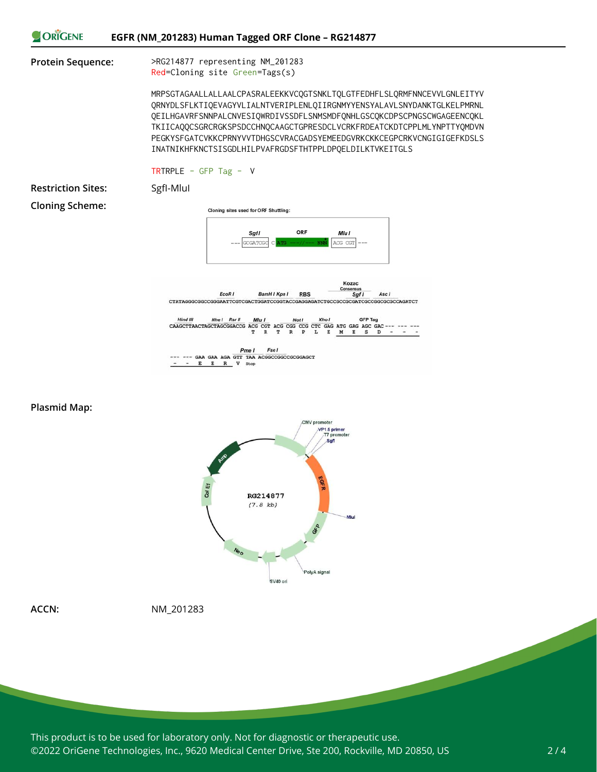

**Plasmid Map:**



**ACCN:** NM\_201283

This product is to be used for laboratory only. Not for diagnostic or therapeutic use. ©2022 OriGene Technologies, Inc., 9620 Medical Center Drive, Ste 200, Rockville, MD 20850, US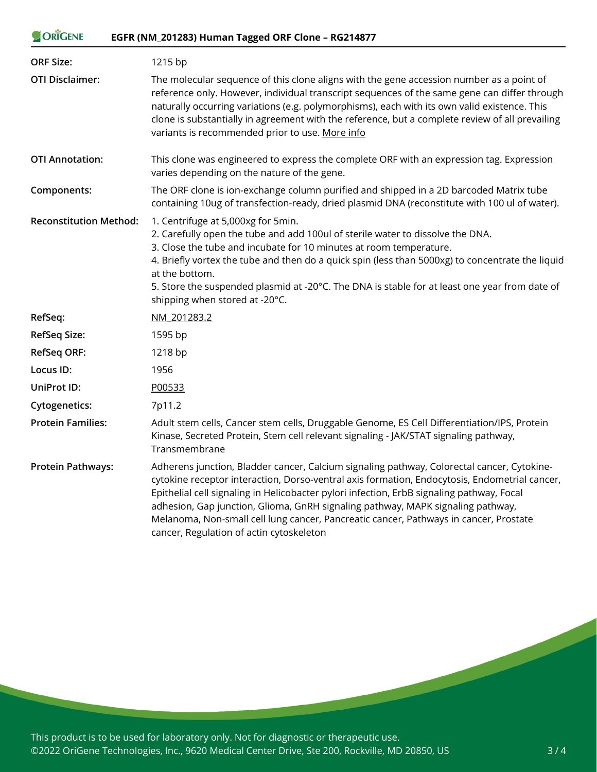#### ORIGENE **EGFR (NM\_201283) Human Tagged ORF Clone – RG214877**

| <b>ORF Size:</b>              | 1215 bp                                                                                                                                                                                                                                                                                                                                                                                                                                                                                                          |
|-------------------------------|------------------------------------------------------------------------------------------------------------------------------------------------------------------------------------------------------------------------------------------------------------------------------------------------------------------------------------------------------------------------------------------------------------------------------------------------------------------------------------------------------------------|
| <b>OTI Disclaimer:</b>        | The molecular sequence of this clone aligns with the gene accession number as a point of<br>reference only. However, individual transcript sequences of the same gene can differ through<br>naturally occurring variations (e.g. polymorphisms), each with its own valid existence. This<br>clone is substantially in agreement with the reference, but a complete review of all prevailing<br>variants is recommended prior to use. More info                                                                   |
| <b>OTI Annotation:</b>        | This clone was engineered to express the complete ORF with an expression tag. Expression<br>varies depending on the nature of the gene.                                                                                                                                                                                                                                                                                                                                                                          |
| Components:                   | The ORF clone is ion-exchange column purified and shipped in a 2D barcoded Matrix tube<br>containing 10ug of transfection-ready, dried plasmid DNA (reconstitute with 100 ul of water).                                                                                                                                                                                                                                                                                                                          |
| <b>Reconstitution Method:</b> | 1. Centrifuge at 5,000xg for 5min.<br>2. Carefully open the tube and add 100ul of sterile water to dissolve the DNA.<br>3. Close the tube and incubate for 10 minutes at room temperature.<br>4. Briefly vortex the tube and then do a quick spin (less than 5000xg) to concentrate the liquid<br>at the bottom.<br>5. Store the suspended plasmid at -20°C. The DNA is stable for at least one year from date of<br>shipping when stored at -20°C.                                                              |
| RefSeq:                       | NM 201283.2                                                                                                                                                                                                                                                                                                                                                                                                                                                                                                      |
| <b>RefSeq Size:</b>           | 1595 bp                                                                                                                                                                                                                                                                                                                                                                                                                                                                                                          |
| <b>RefSeq ORF:</b>            | 1218 bp                                                                                                                                                                                                                                                                                                                                                                                                                                                                                                          |
| Locus ID:                     | 1956                                                                                                                                                                                                                                                                                                                                                                                                                                                                                                             |
| UniProt ID:                   | P00533                                                                                                                                                                                                                                                                                                                                                                                                                                                                                                           |
| <b>Cytogenetics:</b>          | 7p11.2                                                                                                                                                                                                                                                                                                                                                                                                                                                                                                           |
| <b>Protein Families:</b>      | Adult stem cells, Cancer stem cells, Druggable Genome, ES Cell Differentiation/IPS, Protein<br>Kinase, Secreted Protein, Stem cell relevant signaling - JAK/STAT signaling pathway,<br>Transmembrane                                                                                                                                                                                                                                                                                                             |
| <b>Protein Pathways:</b>      | Adherens junction, Bladder cancer, Calcium signaling pathway, Colorectal cancer, Cytokine-<br>cytokine receptor interaction, Dorso-ventral axis formation, Endocytosis, Endometrial cancer,<br>Epithelial cell signaling in Helicobacter pylori infection, ErbB signaling pathway, Focal<br>adhesion, Gap junction, Glioma, GnRH signaling pathway, MAPK signaling pathway,<br>Melanoma, Non-small cell lung cancer, Pancreatic cancer, Pathways in cancer, Prostate<br>cancer, Regulation of actin cytoskeleton |

This product is to be used for laboratory only. Not for diagnostic or therapeutic use. ©2022 OriGene Technologies, Inc., 9620 Medical Center Drive, Ste 200, Rockville, MD 20850, US